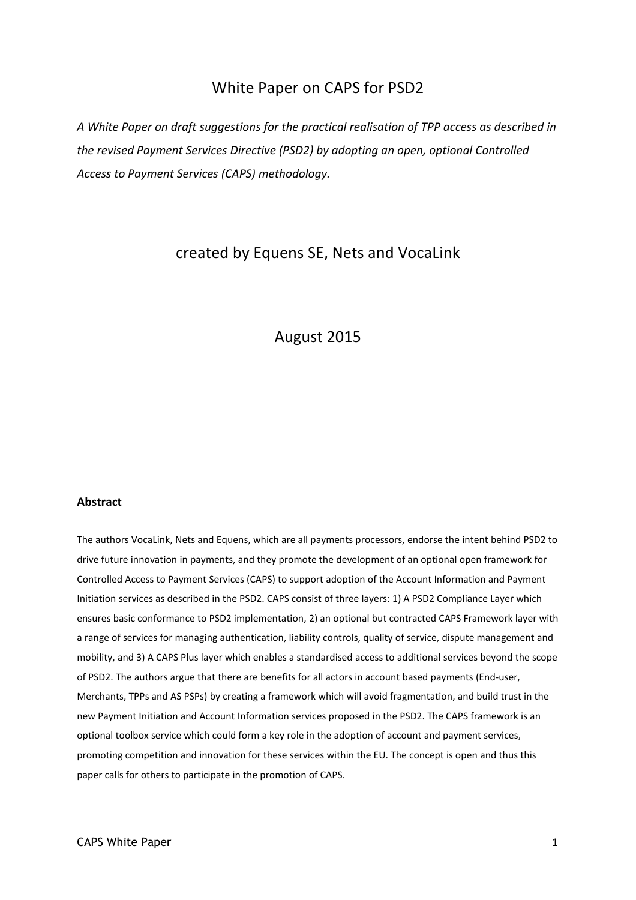# White Paper on CAPS for PSD2

*A White Paper on draft suggestions for the practical realisation of TPP access as described in the revised Payment Services Directive (PSD2) by adopting an open, optional Controlled Access to Payment Services (CAPS) methodology.*

# created by Equens SE, Nets and VocaLink

# August 2015

#### **Abstract**

The authors VocaLink, Nets and Equens, which are all payments processors, endorse the intent behind PSD2 to drive future innovation in payments, and they promote the development of an optional open framework for Controlled Access to Payment Services (CAPS) to support adoption of the Account Information and Payment Initiation services as described in the PSD2. CAPS consist of three layers: 1) A PSD2 Compliance Layer which ensures basic conformance to PSD2 implementation, 2) an optional but contracted CAPS Framework layer with a range of services for managing authentication, liability controls, quality of service, dispute management and mobility, and 3) A CAPS Plus layer which enables a standardised access to additional services beyond the scope of PSD2. The authors argue that there are benefits for all actors in account based payments (End-user, Merchants, TPPs and AS PSPs) by creating a framework which will avoid fragmentation, and build trust in the new Payment Initiation and Account Information services proposed in the PSD2. The CAPS framework is an optional toolbox service which could form a key role in the adoption of account and payment services, promoting competition and innovation for these services within the EU. The concept is open and thus this paper calls for others to participate in the promotion of CAPS.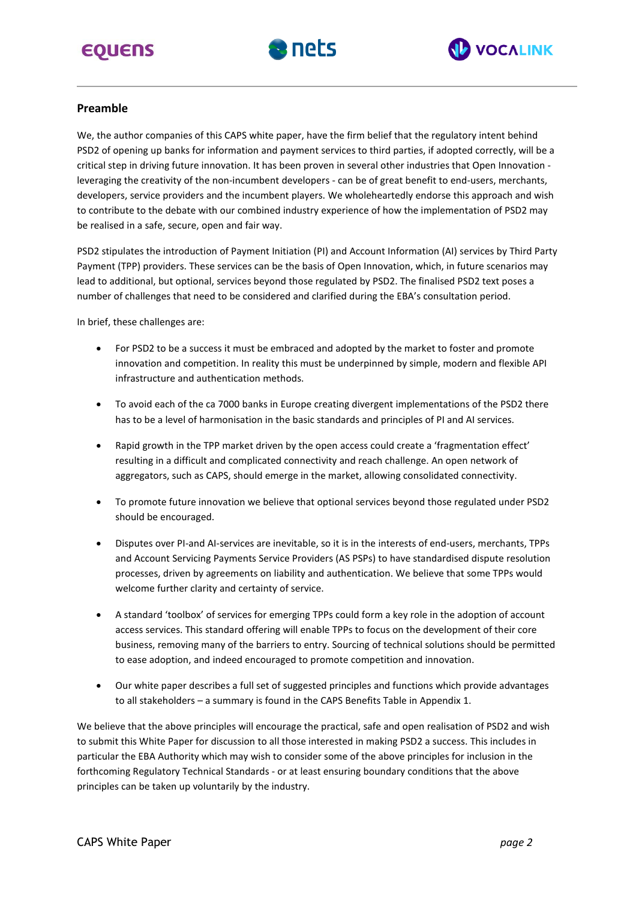# **EQUENS**





## **Preamble**

We, the author companies of this CAPS white paper, have the firm belief that the regulatory intent behind PSD2 of opening up banks for information and payment services to third parties, if adopted correctly, will be a critical step in driving future innovation. It has been proven in several other industries that Open Innovation leveraging the creativity of the non-incumbent developers - can be of great benefit to end-users, merchants, developers, service providers and the incumbent players. We wholeheartedly endorse this approach and wish to contribute to the debate with our combined industry experience of how the implementation of PSD2 may be realised in a safe, secure, open and fair way.

PSD2 stipulates the introduction of Payment Initiation (PI) and Account Information (AI) services by Third Party Payment (TPP) providers. These services can be the basis of Open Innovation, which, in future scenarios may lead to additional, but optional, services beyond those regulated by PSD2. The finalised PSD2 text poses a number of challenges that need to be considered and clarified during the EBA's consultation period.

In brief, these challenges are:

- For PSD2 to be a success it must be embraced and adopted by the market to foster and promote innovation and competition. In reality this must be underpinned by simple, modern and flexible API infrastructure and authentication methods.
- To avoid each of the ca 7000 banks in Europe creating divergent implementations of the PSD2 there has to be a level of harmonisation in the basic standards and principles of PI and AI services.
- Rapid growth in the TPP market driven by the open access could create a 'fragmentation effect' resulting in a difficult and complicated connectivity and reach challenge. An open network of aggregators, such as CAPS, should emerge in the market, allowing consolidated connectivity.
- To promote future innovation we believe that optional services beyond those regulated under PSD2 should be encouraged.
- Disputes over PI-and AI-services are inevitable, so it is in the interests of end-users, merchants, TPPs and Account Servicing Payments Service Providers (AS PSPs) to have standardised dispute resolution processes, driven by agreements on liability and authentication. We believe that some TPPs would welcome further clarity and certainty of service.
- A standard 'toolbox' of services for emerging TPPs could form a key role in the adoption of account access services. This standard offering will enable TPPs to focus on the development of their core business, removing many of the barriers to entry. Sourcing of technical solutions should be permitted to ease adoption, and indeed encouraged to promote competition and innovation.
- Our white paper describes a full set of suggested principles and functions which provide advantages to all stakeholders – a summary is found in the CAPS Benefits Table in Appendix 1.

We believe that the above principles will encourage the practical, safe and open realisation of PSD2 and wish to submit this White Paper for discussion to all those interested in making PSD2 a success. This includes in particular the EBA Authority which may wish to consider some of the above principles for inclusion in the forthcoming Regulatory Technical Standards - or at least ensuring boundary conditions that the above principles can be taken up voluntarily by the industry.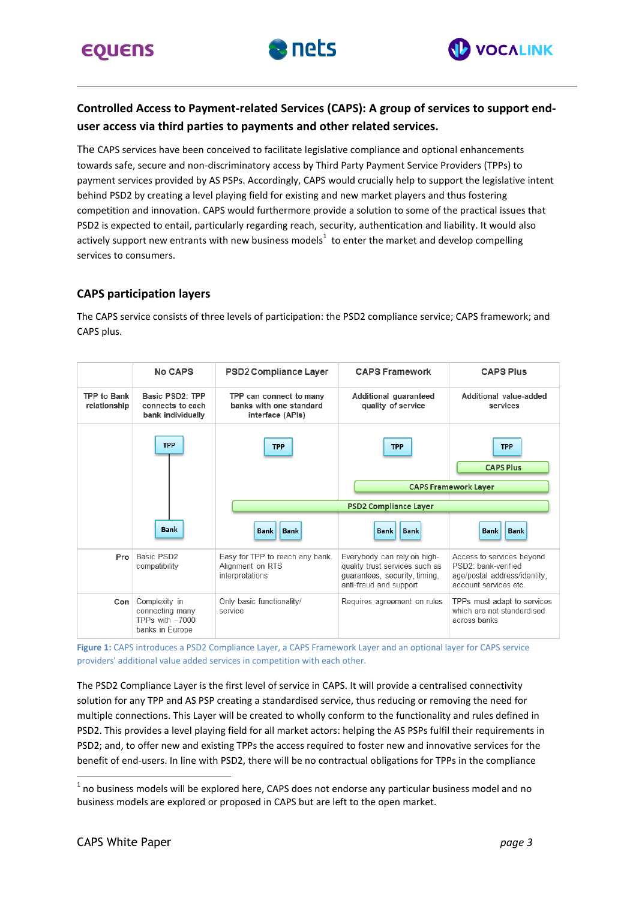



# **Controlled Access to Payment-related Services (CAPS): A group of services to support enduser access via third parties to payments and other related services.**

The CAPS services have been conceived to facilitate legislative compliance and optional enhancements towards safe, secure and non-discriminatory access by Third Party Payment Service Providers (TPPs) to payment services provided by AS PSPs. Accordingly, CAPS would crucially help to support the legislative intent behind PSD2 by creating a level playing field for existing and new market players and thus fostering competition and innovation. CAPS would furthermore provide a solution to some of the practical issues that PSD2 is expected to entail, particularly regarding reach, security, authentication and liability. It would also actively support new entrants with new business models<sup>1</sup> to enter the market and develop compelling services to consumers.

## **CAPS participation layers**

The CAPS service consists of three levels of participation: the PSD2 compliance service; CAPS framework; and CAPS plus.



**Figure 1:** CAPS introduces a PSD2 Compliance Layer, a CAPS Framework Layer and an optional layer for CAPS service providers' additional value added services in competition with each other.

The PSD2 Compliance Layer is the first level of service in CAPS. It will provide a centralised connectivity solution for any TPP and AS PSP creating a standardised service, thus reducing or removing the need for multiple connections. This Layer will be created to wholly conform to the functionality and rules defined in PSD2. This provides a level playing field for all market actors: helping the AS PSPs fulfil their requirements in PSD2; and, to offer new and existing TPPs the access required to foster new and innovative services for the benefit of end-users. In line with PSD2, there will be no contractual obligations for TPPs in the compliance

 $\overline{a}$ 

 $^{\text{1}}$  no business models will be explored here, CAPS does not endorse any particular business model and no business models are explored or proposed in CAPS but are left to the open market.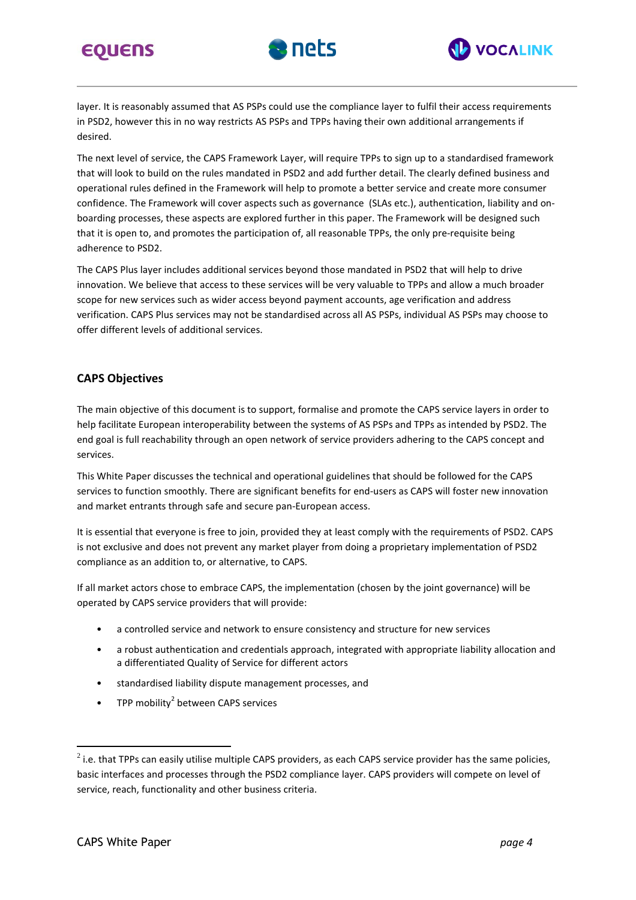





layer. It is reasonably assumed that AS PSPs could use the compliance layer to fulfil their access requirements in PSD2, however this in no way restricts AS PSPs and TPPs having their own additional arrangements if desired.

The next level of service, the CAPS Framework Layer, will require TPPs to sign up to a standardised framework that will look to build on the rules mandated in PSD2 and add further detail. The clearly defined business and operational rules defined in the Framework will help to promote a better service and create more consumer confidence. The Framework will cover aspects such as governance (SLAs etc.), authentication, liability and onboarding processes, these aspects are explored further in this paper. The Framework will be designed such that it is open to, and promotes the participation of, all reasonable TPPs, the only pre-requisite being adherence to PSD2.

The CAPS Plus layer includes additional services beyond those mandated in PSD2 that will help to drive innovation. We believe that access to these services will be very valuable to TPPs and allow a much broader scope for new services such as wider access beyond payment accounts, age verification and address verification. CAPS Plus services may not be standardised across all AS PSPs, individual AS PSPs may choose to offer different levels of additional services.

#### **CAPS Objectives**

The main objective of this document is to support, formalise and promote the CAPS service layers in order to help facilitate European interoperability between the systems of AS PSPs and TPPs as intended by PSD2. The end goal is full reachability through an open network of service providers adhering to the CAPS concept and services.

This White Paper discusses the technical and operational guidelines that should be followed for the CAPS services to function smoothly. There are significant benefits for end-users as CAPS will foster new innovation and market entrants through safe and secure pan-European access.

It is essential that everyone is free to join, provided they at least comply with the requirements of PSD2. CAPS is not exclusive and does not prevent any market player from doing a proprietary implementation of PSD2 compliance as an addition to, or alternative, to CAPS.

If all market actors chose to embrace CAPS, the implementation (chosen by the joint governance) will be operated by CAPS service providers that will provide:

- a controlled service and network to ensure consistency and structure for new services
- a robust authentication and credentials approach, integrated with appropriate liability allocation and a differentiated Quality of Service for different actors
- standardised liability dispute management processes, and
- TPP mobility<sup>2</sup> between CAPS services

 $\overline{a}$ 

 $^2$  i.e. that TPPs can easily utilise multiple CAPS providers, as each CAPS service provider has the same policies, basic interfaces and processes through the PSD2 compliance layer. CAPS providers will compete on level of service, reach, functionality and other business criteria.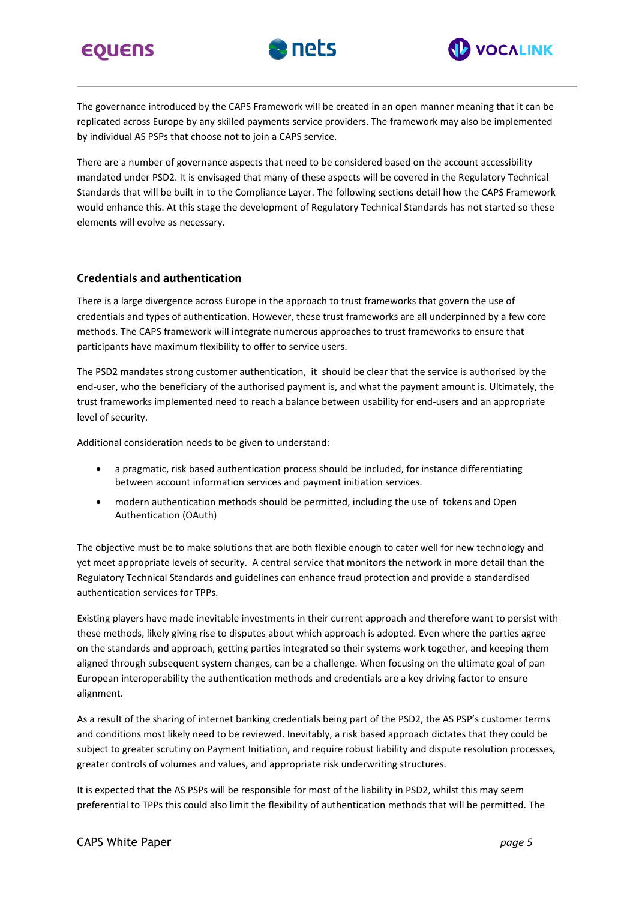





The governance introduced by the CAPS Framework will be created in an open manner meaning that it can be replicated across Europe by any skilled payments service providers. The framework may also be implemented by individual AS PSPs that choose not to join a CAPS service.

There are a number of governance aspects that need to be considered based on the account accessibility mandated under PSD2. It is envisaged that many of these aspects will be covered in the Regulatory Technical Standards that will be built in to the Compliance Layer. The following sections detail how the CAPS Framework would enhance this. At this stage the development of Regulatory Technical Standards has not started so these elements will evolve as necessary.

## **Credentials and authentication**

There is a large divergence across Europe in the approach to trust frameworks that govern the use of credentials and types of authentication. However, these trust frameworks are all underpinned by a few core methods. The CAPS framework will integrate numerous approaches to trust frameworks to ensure that participants have maximum flexibility to offer to service users.

The PSD2 mandates strong customer authentication, it should be clear that the service is authorised by the end-user, who the beneficiary of the authorised payment is, and what the payment amount is. Ultimately, the trust frameworks implemented need to reach a balance between usability for end-users and an appropriate level of security.

Additional consideration needs to be given to understand:

- a pragmatic, risk based authentication process should be included, for instance differentiating between account information services and payment initiation services.
- modern authentication methods should be permitted, including the use of tokens and Open Authentication (OAuth)

The objective must be to make solutions that are both flexible enough to cater well for new technology and yet meet appropriate levels of security. A central service that monitors the network in more detail than the Regulatory Technical Standards and guidelines can enhance fraud protection and provide a standardised authentication services for TPPs.

Existing players have made inevitable investments in their current approach and therefore want to persist with these methods, likely giving rise to disputes about which approach is adopted. Even where the parties agree on the standards and approach, getting parties integrated so their systems work together, and keeping them aligned through subsequent system changes, can be a challenge. When focusing on the ultimate goal of pan European interoperability the authentication methods and credentials are a key driving factor to ensure alignment.

As a result of the sharing of internet banking credentials being part of the PSD2, the AS PSP's customer terms and conditions most likely need to be reviewed. Inevitably, a risk based approach dictates that they could be subject to greater scrutiny on Payment Initiation, and require robust liability and dispute resolution processes, greater controls of volumes and values, and appropriate risk underwriting structures.

It is expected that the AS PSPs will be responsible for most of the liability in PSD2, whilst this may seem preferential to TPPs this could also limit the flexibility of authentication methods that will be permitted. The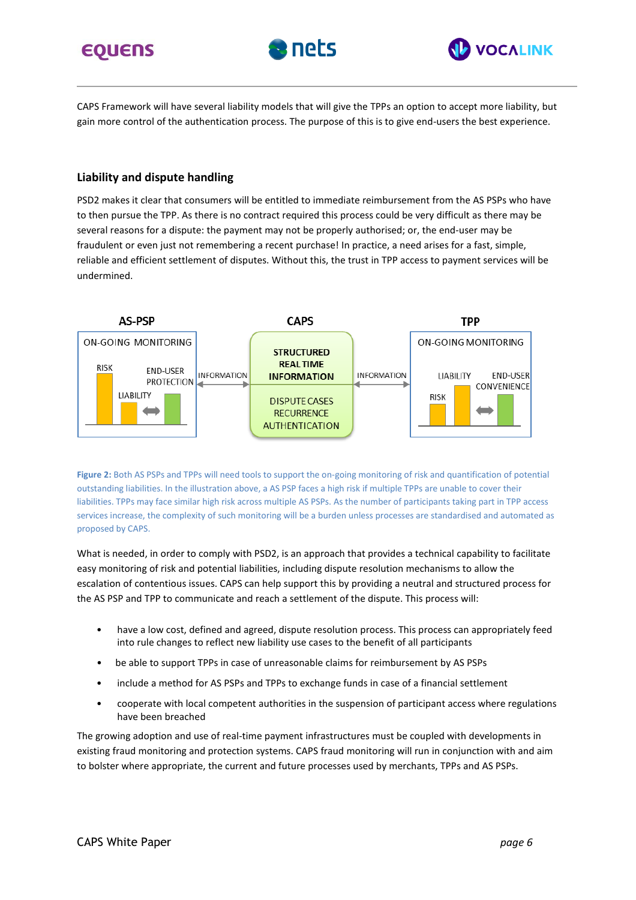# **EQUENS**





CAPS Framework will have several liability models that will give the TPPs an option to accept more liability, but gain more control of the authentication process. The purpose of this is to give end-users the best experience.

## **Liability and dispute handling**

PSD2 makes it clear that consumers will be entitled to immediate reimbursement from the AS PSPs who have to then pursue the TPP. As there is no contract required this process could be very difficult as there may be several reasons for a dispute: the payment may not be properly authorised; or, the end-user may be fraudulent or even just not remembering a recent purchase! In practice, a need arises for a fast, simple, reliable and efficient settlement of disputes. Without this, the trust in TPP access to payment services will be undermined.



**Figure 2:** Both AS PSPs and TPPs will need tools to support the on-going monitoring of risk and quantification of potential outstanding liabilities. In the illustration above, a AS PSP faces a high risk if multiple TPPs are unable to cover their liabilities. TPPs may face similar high risk across multiple AS PSPs. As the number of participants taking part in TPP access services increase, the complexity of such monitoring will be a burden unless processes are standardised and automated as proposed by CAPS.

What is needed, in order to comply with PSD2, is an approach that provides a technical capability to facilitate easy monitoring of risk and potential liabilities, including dispute resolution mechanisms to allow the escalation of contentious issues. CAPS can help support this by providing a neutral and structured process for the AS PSP and TPP to communicate and reach a settlement of the dispute. This process will:

- have a low cost, defined and agreed, dispute resolution process. This process can appropriately feed into rule changes to reflect new liability use cases to the benefit of all participants
- be able to support TPPs in case of unreasonable claims for reimbursement by AS PSPs
- include a method for AS PSPs and TPPs to exchange funds in case of a financial settlement
- cooperate with local competent authorities in the suspension of participant access where regulations have been breached

The growing adoption and use of real-time payment infrastructures must be coupled with developments in existing fraud monitoring and protection systems. CAPS fraud monitoring will run in conjunction with and aim to bolster where appropriate, the current and future processes used by merchants, TPPs and AS PSPs.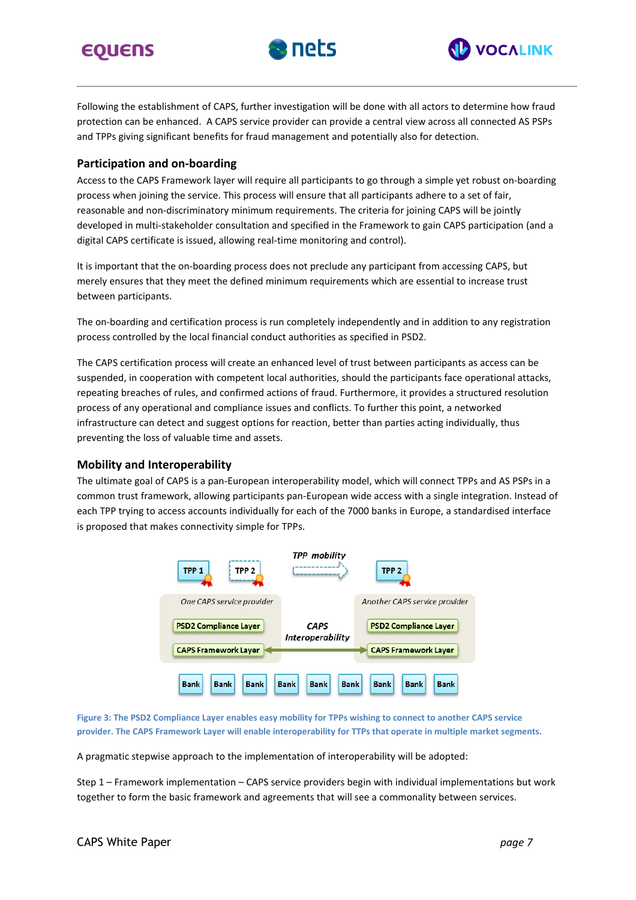# **EQUENS**





Following the establishment of CAPS, further investigation will be done with all actors to determine how fraud protection can be enhanced. A CAPS service provider can provide a central view across all connected AS PSPs and TPPs giving significant benefits for fraud management and potentially also for detection.

## **Participation and on-boarding**

Access to the CAPS Framework layer will require all participants to go through a simple yet robust on-boarding process when joining the service. This process will ensure that all participants adhere to a set of fair, reasonable and non-discriminatory minimum requirements. The criteria for joining CAPS will be jointly developed in multi-stakeholder consultation and specified in the Framework to gain CAPS participation (and a digital CAPS certificate is issued, allowing real-time monitoring and control).

It is important that the on-boarding process does not preclude any participant from accessing CAPS, but merely ensures that they meet the defined minimum requirements which are essential to increase trust between participants.

The on-boarding and certification process is run completely independently and in addition to any registration process controlled by the local financial conduct authorities as specified in PSD2.

The CAPS certification process will create an enhanced level of trust between participants as access can be suspended, in cooperation with competent local authorities, should the participants face operational attacks, repeating breaches of rules, and confirmed actions of fraud. Furthermore, it provides a structured resolution process of any operational and compliance issues and conflicts. To further this point, a networked infrastructure can detect and suggest options for reaction, better than parties acting individually, thus preventing the loss of valuable time and assets.

#### **Mobility and Interoperability**

The ultimate goal of CAPS is a pan-European interoperability model, which will connect TPPs and AS PSPs in a common trust framework, allowing participants pan-European wide access with a single integration. Instead of each TPP trying to access accounts individually for each of the 7000 banks in Europe, a standardised interface is proposed that makes connectivity simple for TPPs.



Figure 3: The PSD2 Compliance Layer enables easy mobility for TPPs wishing to connect to another CAPS service provider. The CAPS Framework Layer will enable interoperability for TTPs that operate in multiple market segments.

A pragmatic stepwise approach to the implementation of interoperability will be adopted:

Step 1 – Framework implementation – CAPS service providers begin with individual implementations but work together to form the basic framework and agreements that will see a commonality between services.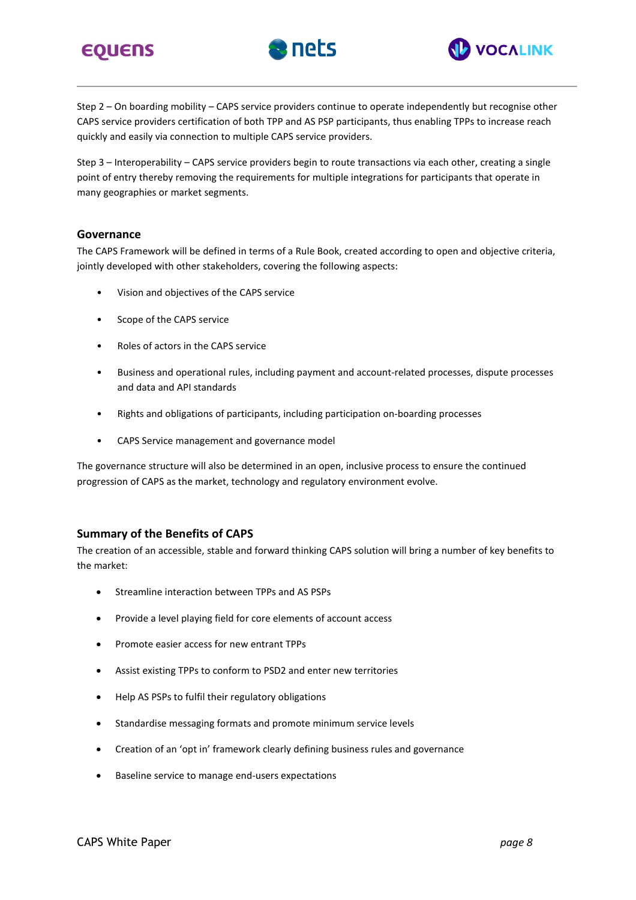





Step 2 – On boarding mobility – CAPS service providers continue to operate independently but recognise other CAPS service providers certification of both TPP and AS PSP participants, thus enabling TPPs to increase reach quickly and easily via connection to multiple CAPS service providers.

Step 3 – Interoperability – CAPS service providers begin to route transactions via each other, creating a single point of entry thereby removing the requirements for multiple integrations for participants that operate in many geographies or market segments.

#### **Governance**

The CAPS Framework will be defined in terms of a Rule Book, created according to open and objective criteria, jointly developed with other stakeholders, covering the following aspects:

- Vision and objectives of the CAPS service
- Scope of the CAPS service
- Roles of actors in the CAPS service
- Business and operational rules, including payment and account-related processes, dispute processes and data and API standards
- Rights and obligations of participants, including participation on-boarding processes
- CAPS Service management and governance model

The governance structure will also be determined in an open, inclusive process to ensure the continued progression of CAPS as the market, technology and regulatory environment evolve.

## **Summary of the Benefits of CAPS**

The creation of an accessible, stable and forward thinking CAPS solution will bring a number of key benefits to the market:

- Streamline interaction between TPPs and AS PSPs
- Provide a level playing field for core elements of account access
- Promote easier access for new entrant TPPs
- Assist existing TPPs to conform to PSD2 and enter new territories
- Help AS PSPs to fulfil their regulatory obligations
- Standardise messaging formats and promote minimum service levels
- Creation of an 'opt in' framework clearly defining business rules and governance
- Baseline service to manage end-users expectations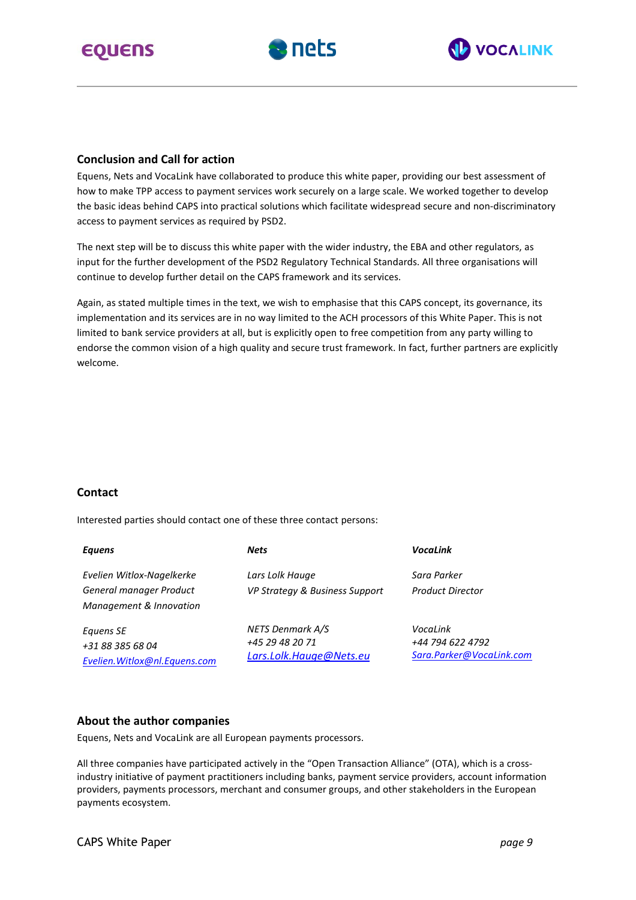





#### **Conclusion and Call for action**

Equens, Nets and VocaLink have collaborated to produce this white paper, providing our best assessment of how to make TPP access to payment services work securely on a large scale. We worked together to develop the basic ideas behind CAPS into practical solutions which facilitate widespread secure and non-discriminatory access to payment services as required by PSD2.

The next step will be to discuss this white paper with the wider industry, the EBA and other regulators, as input for the further development of the PSD2 Regulatory Technical Standards. All three organisations will continue to develop further detail on the CAPS framework and its services.

Again, as stated multiple times in the text, we wish to emphasise that this CAPS concept, its governance, its implementation and its services are in no way limited to the ACH processors of this White Paper. This is not limited to bank service providers at all, but is explicitly open to free competition from any party willing to endorse the common vision of a high quality and secure trust framework. In fact, further partners are explicitly welcome.

#### **Contact**

Interested parties should contact one of these three contact persons:

| <b>Equens</b>                  | <b>Nets</b>                    | VocaLink                 |
|--------------------------------|--------------------------------|--------------------------|
| Evelien Witlox-Nagelkerke      | Lars Lolk Hauge                | Sara Parker              |
| General manager Product        | VP Strategy & Business Support | <b>Product Director</b>  |
| Management & Innovation        |                                |                          |
| Equens SE                      | NETS Denmark A/S               | VocaLink                 |
| +31 88 385 68 04               | +45 29 48 20 71                | +44 794 622 4792         |
| Evelien. Witlox@nl. Equens.com | Lars.Lolk.Hauge@Nets.eu        | Sara.Parker@VocaLink.com |

#### **About the author companies**

Equens, Nets and VocaLink are all European payments processors.

All three companies have participated actively in the "Open Transaction Alliance" (OTA), which is a crossindustry initiative of payment practitioners including banks, payment service providers, account information providers, payments processors, merchant and consumer groups, and other stakeholders in the European payments ecosystem.